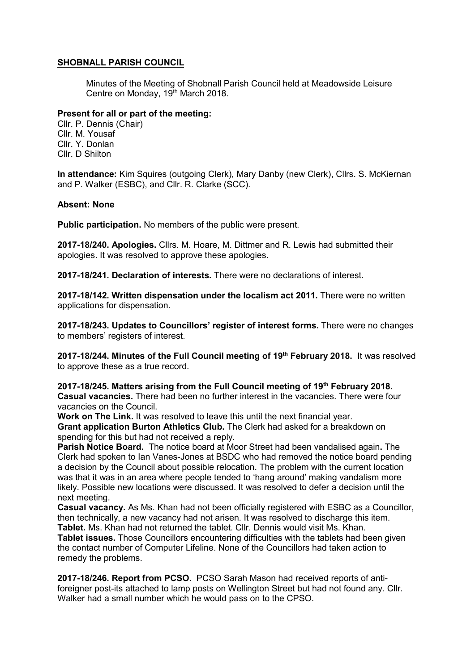## SHOBNALL PARISH COUNCIL

Minutes of the Meeting of Shobnall Parish Council held at Meadowside Leisure Centre on Monday, 19th March 2018.

#### Present for all or part of the meeting:

Cllr. P. Dennis (Chair) Cllr. M. Yousaf Cllr. Y. Donlan Cllr. D Shilton

In attendance: Kim Squires (outgoing Clerk), Mary Danby (new Clerk), Cllrs. S. McKiernan and P. Walker (ESBC), and Cllr. R. Clarke (SCC).

### Absent: None

Public participation. No members of the public were present.

2017-18/240. Apologies. Cllrs. M. Hoare, M. Dittmer and R. Lewis had submitted their apologies. It was resolved to approve these apologies.

2017-18/241. Declaration of interests. There were no declarations of interest.

2017-18/142. Written dispensation under the localism act 2011. There were no written applications for dispensation.

2017-18/243. Updates to Councillors' register of interest forms. There were no changes to members' registers of interest.

2017-18/244. Minutes of the Full Council meeting of 19<sup>th</sup> February 2018. It was resolved to approve these as a true record.

2017-18/245. Matters arising from the Full Council meeting of 19<sup>th</sup> February 2018. Casual vacancies. There had been no further interest in the vacancies. There were four vacancies on the Council.

Work on The Link. It was resolved to leave this until the next financial year.

Grant application Burton Athletics Club. The Clerk had asked for a breakdown on spending for this but had not received a reply.

Parish Notice Board. The notice board at Moor Street had been vandalised again. The Clerk had spoken to Ian Vanes-Jones at BSDC who had removed the notice board pending a decision by the Council about possible relocation. The problem with the current location was that it was in an area where people tended to 'hang around' making vandalism more likely. Possible new locations were discussed. It was resolved to defer a decision until the next meeting.

Casual vacancy. As Ms. Khan had not been officially registered with ESBC as a Councillor, then technically, a new vacancy had not arisen. It was resolved to discharge this item. Tablet. Ms. Khan had not returned the tablet. Cllr. Dennis would visit Ms. Khan.

Tablet issues. Those Councillors encountering difficulties with the tablets had been given the contact number of Computer Lifeline. None of the Councillors had taken action to remedy the problems.

2017-18/246. Report from PCSO. PCSO Sarah Mason had received reports of antiforeigner post-its attached to lamp posts on Wellington Street but had not found any. Cllr. Walker had a small number which he would pass on to the CPSO.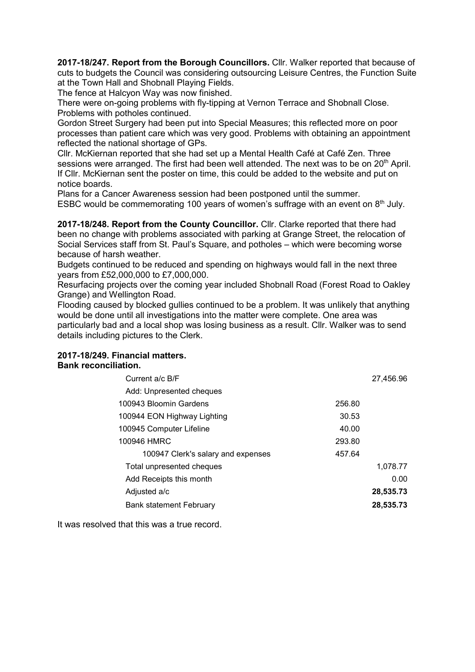2017-18/247. Report from the Borough Councillors. Cllr. Walker reported that because of cuts to budgets the Council was considering outsourcing Leisure Centres, the Function Suite at the Town Hall and Shobnall Playing Fields.

The fence at Halcyon Way was now finished.

There were on-going problems with fly-tipping at Vernon Terrace and Shobnall Close. Problems with potholes continued.

Gordon Street Surgery had been put into Special Measures; this reflected more on poor processes than patient care which was very good. Problems with obtaining an appointment reflected the national shortage of GPs.

Cllr. McKiernan reported that she had set up a Mental Health Café at Café Zen. Three sessions were arranged. The first had been well attended. The next was to be on  $20<sup>th</sup>$  April. If Cllr. McKiernan sent the poster on time, this could be added to the website and put on notice boards.

Plans for a Cancer Awareness session had been postponed until the summer.

ESBC would be commemorating 100 years of women's suffrage with an event on  $8<sup>th</sup>$  July.

2017-18/248. Report from the County Councillor. Cllr. Clarke reported that there had been no change with problems associated with parking at Grange Street, the relocation of Social Services staff from St. Paul's Square, and potholes – which were becoming worse because of harsh weather.

Budgets continued to be reduced and spending on highways would fall in the next three years from £52,000,000 to £7,000,000.

Resurfacing projects over the coming year included Shobnall Road (Forest Road to Oakley Grange) and Wellington Road.

Flooding caused by blocked gullies continued to be a problem. It was unlikely that anything would be done until all investigations into the matter were complete. One area was particularly bad and a local shop was losing business as a result. Cllr. Walker was to send details including pictures to the Clerk.

# 2017-18/249. Financial matters. Bank reconciliation.

|        | 27,456.96 |
|--------|-----------|
|        |           |
| 256.80 |           |
| 30.53  |           |
| 40.00  |           |
| 293.80 |           |
| 457.64 |           |
|        | 1,078.77  |
|        | 0.00      |
|        | 28,535.73 |
|        | 28,535.73 |
|        |           |

It was resolved that this was a true record.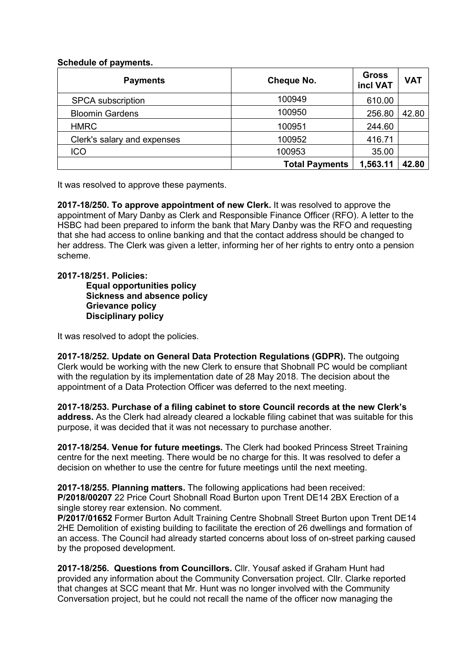## Schedule of payments.

| <b>Payments</b>             | <b>Cheque No.</b>     | <b>Gross</b><br>incl VAT | <b>VAT</b> |
|-----------------------------|-----------------------|--------------------------|------------|
| <b>SPCA</b> subscription    | 100949                | 610.00                   |            |
| <b>Bloomin Gardens</b>      | 100950                | 256.80                   | 42.80      |
| <b>HMRC</b>                 | 100951                | 244.60                   |            |
| Clerk's salary and expenses | 100952                | 416.71                   |            |
| <b>ICO</b>                  | 100953                | 35.00                    |            |
|                             | <b>Total Payments</b> | 1,563.11                 | 42.80      |

It was resolved to approve these payments.

2017-18/250. To approve appointment of new Clerk. It was resolved to approve the appointment of Mary Danby as Clerk and Responsible Finance Officer (RFO). A letter to the HSBC had been prepared to inform the bank that Mary Danby was the RFO and requesting that she had access to online banking and that the contact address should be changed to her address. The Clerk was given a letter, informing her of her rights to entry onto a pension scheme.

### 2017-18/251. Policies:

Equal opportunities policy Sickness and absence policy Grievance policy Disciplinary policy

It was resolved to adopt the policies.

2017-18/252. Update on General Data Protection Regulations (GDPR). The outgoing Clerk would be working with the new Clerk to ensure that Shobnall PC would be compliant with the regulation by its implementation date of 28 May 2018. The decision about the appointment of a Data Protection Officer was deferred to the next meeting.

2017-18/253. Purchase of a filing cabinet to store Council records at the new Clerk's address. As the Clerk had already cleared a lockable filing cabinet that was suitable for this purpose, it was decided that it was not necessary to purchase another.

2017-18/254. Venue for future meetings. The Clerk had booked Princess Street Training centre for the next meeting. There would be no charge for this. It was resolved to defer a decision on whether to use the centre for future meetings until the next meeting.

2017-18/255. Planning matters. The following applications had been received: P/2018/00207 22 Price Court Shobnall Road Burton upon Trent DE14 2BX Erection of a single storey rear extension. No comment.

P/2017/01652 Former Burton Adult Training Centre Shobnall Street Burton upon Trent DE14 2HE Demolition of existing building to facilitate the erection of 26 dwellings and formation of an access. The Council had already started concerns about loss of on-street parking caused by the proposed development.

2017-18/256. Questions from Councillors. Cllr. Yousaf asked if Graham Hunt had provided any information about the Community Conversation project. Cllr. Clarke reported that changes at SCC meant that Mr. Hunt was no longer involved with the Community Conversation project, but he could not recall the name of the officer now managing the